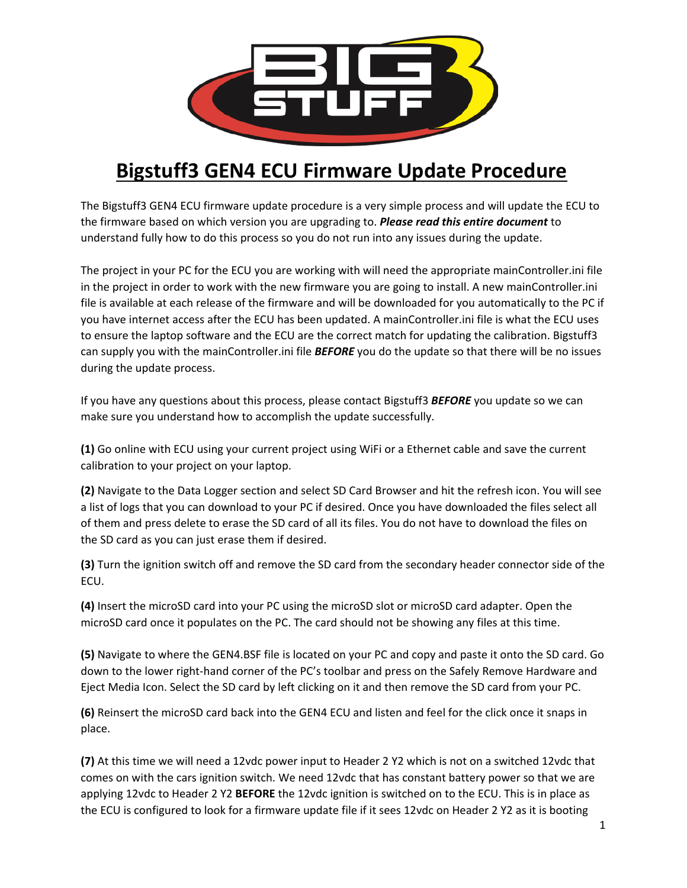

## **Bigstuff3 GEN4 ECU Firmware Update Procedure**

The Bigstuff3 GEN4 ECU firmware update procedure is a very simple process and will update the ECU to the firmware based on which version you are upgrading to. *Please read this entire document* to understand fully how to do this process so you do not run into any issues during the update.

The project in your PC for the ECU you are working with will need the appropriate mainController.ini file in the project in order to work with the new firmware you are going to install. A new mainController.ini file is available at each release of the firmware and will be downloaded for you automatically to the PC if you have internet access after the ECU has been updated. A mainController.ini file is what the ECU uses to ensure the laptop software and the ECU are the correct match for updating the calibration. Bigstuff3 can supply you with the mainController.ini file *BEFORE* you do the update so that there will be no issues during the update process.

If you have any questions about this process, please contact Bigstuff3 *BEFORE* you update so we can make sure you understand how to accomplish the update successfully.

**(1)** Go online with ECU using your current project using WiFi or a Ethernet cable and save the current calibration to your project on your laptop.

**(2)** Navigate to the Data Logger section and select SD Card Browser and hit the refresh icon. You will see a list of logs that you can download to your PC if desired. Once you have downloaded the files select all of them and press delete to erase the SD card of all its files. You do not have to download the files on the SD card as you can just erase them if desired.

**(3)** Turn the ignition switch off and remove the SD card from the secondary header connector side of the ECU.

**(4)** Insert the microSD card into your PC using the microSD slot or microSD card adapter. Open the microSD card once it populates on the PC. The card should not be showing any files at this time.

**(5)** Navigate to where the GEN4.BSF file is located on your PC and copy and paste it onto the SD card. Go down to the lower right-hand corner of the PC's toolbar and press on the Safely Remove Hardware and Eject Media Icon. Select the SD card by left clicking on it and then remove the SD card from your PC.

**(6)** Reinsert the microSD card back into the GEN4 ECU and listen and feel for the click once it snaps in place.

**(7)** At this time we will need a 12vdc power input to Header 2 Y2 which is not on a switched 12vdc that comes on with the cars ignition switch. We need 12vdc that has constant battery power so that we are applying 12vdc to Header 2 Y2 **BEFORE** the 12vdc ignition is switched on to the ECU. This is in place as the ECU is configured to look for a firmware update file if it sees 12vdc on Header 2 Y2 as it is booting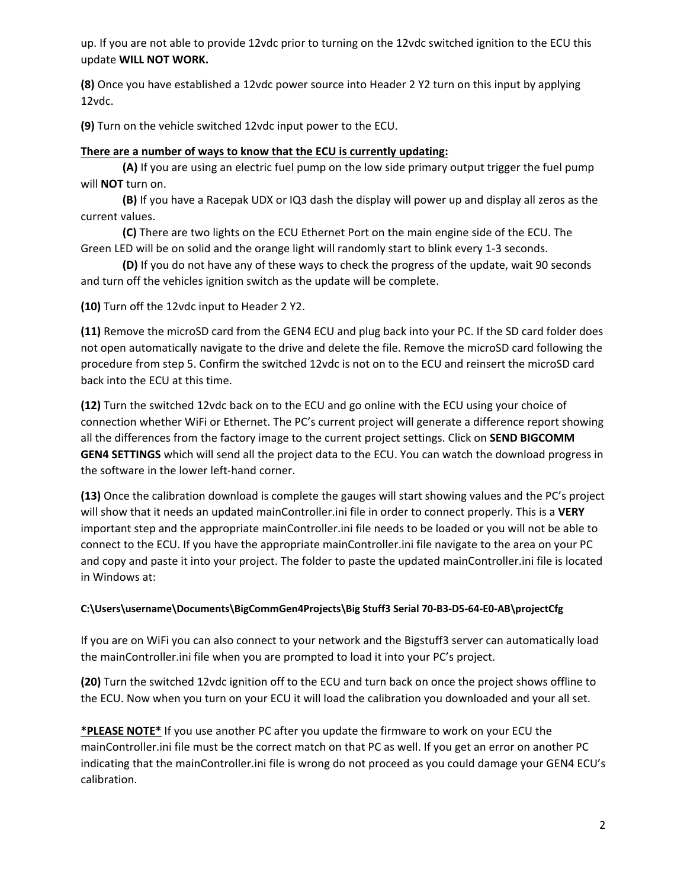up. If you are not able to provide 12vdc prior to turning on the 12vdc switched ignition to the ECU this update **WILL NOT WORK.** 

**(8)** Once you have established a 12vdc power source into Header 2 Y2 turn on this input by applying 12vdc.

**(9)** Turn on the vehicle switched 12vdc input power to the ECU.

## **There are a number of ways to know that the ECU is currently updating:**

 **(A)** If you are using an electric fuel pump on the low side primary output trigger the fuel pump will **NOT** turn on.

 **(B)** If you have a Racepak UDX or IQ3 dash the display will power up and display all zeros as the current values.

 **(C)** There are two lights on the ECU Ethernet Port on the main engine side of the ECU. The Green LED will be on solid and the orange light will randomly start to blink every 1-3 seconds.

 **(D)** If you do not have any of these ways to check the progress of the update, wait 90 seconds and turn off the vehicles ignition switch as the update will be complete.

**(10)** Turn off the 12vdc input to Header 2 Y2.

**(11)** Remove the microSD card from the GEN4 ECU and plug back into your PC. If the SD card folder does not open automatically navigate to the drive and delete the file. Remove the microSD card following the procedure from step 5. Confirm the switched 12vdc is not on to the ECU and reinsert the microSD card back into the ECU at this time.

**(12)** Turn the switched 12vdc back on to the ECU and go online with the ECU using your choice of connection whether WiFi or Ethernet. The PC's current project will generate a difference report showing all the differences from the factory image to the current project settings. Click on **SEND BIGCOMM GEN4 SETTINGS** which will send all the project data to the ECU. You can watch the download progress in the software in the lower left-hand corner.

**(13)** Once the calibration download is complete the gauges will start showing values and the PC's project will show that it needs an updated mainController.ini file in order to connect properly. This is a **VERY** important step and the appropriate mainController.ini file needs to be loaded or you will not be able to connect to the ECU. If you have the appropriate mainController.ini file navigate to the area on your PC and copy and paste it into your project. The folder to paste the updated mainController.ini file is located in Windows at:

## **C:\Users\username\Documents\BigCommGen4Projects\Big Stuff3 Serial 70-B3-D5-64-E0-AB\projectCfg**

If you are on WiFi you can also connect to your network and the Bigstuff3 server can automatically load the mainController.ini file when you are prompted to load it into your PC's project.

**(20)** Turn the switched 12vdc ignition off to the ECU and turn back on once the project shows offline to the ECU. Now when you turn on your ECU it will load the calibration you downloaded and your all set.

**\*PLEASE NOTE\*** If you use another PC after you update the firmware to work on your ECU the mainController.ini file must be the correct match on that PC as well. If you get an error on another PC indicating that the mainController.ini file is wrong do not proceed as you could damage your GEN4 ECU's calibration.